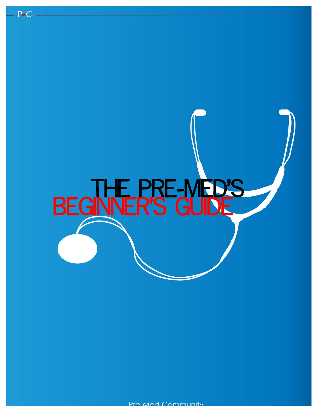

**PMC**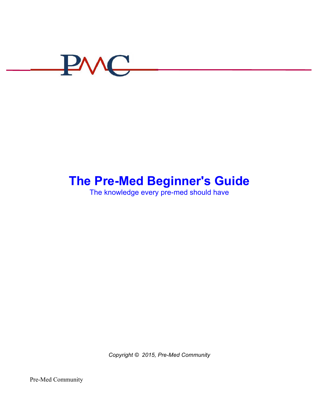

# **The Pre-Med Beginner's Guide**

The knowledge every pre-med should have

*Copyright © 2015, Pre-Med Community*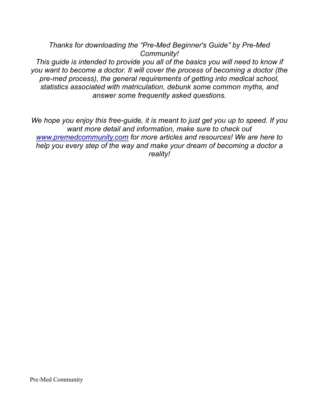*Thanks for downloading the "Pre-Med Beginner's Guide" by Pre-Med Community!* 

*This guide is intended to provide you all of the basics you will need to know if you want to become a doctor. It will cover the process of becoming a doctor (the pre-med process), the general requirements of getting into medical school, statistics associated with matriculation, debunk some common myths, and answer some frequently asked questions.* 

*We hope you enjoy this free-guide, it is meant to just get you up to speed. If you want more detail and information, make sure to check out www.premedcommunity.com for more articles and resources! We are here to help you every step of the way and make your dream of becoming a doctor a reality!*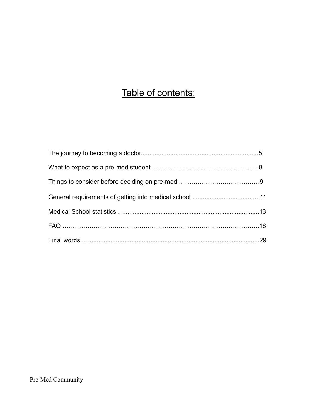# Table of contents: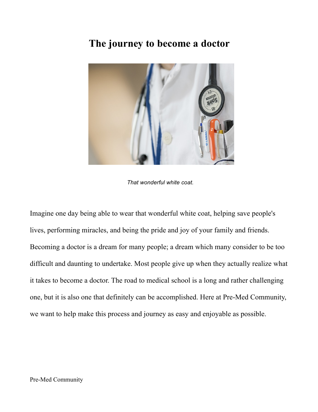## **The journey to become a doctor**



*That wonderful white coat.*

Imagine one day being able to wear that wonderful white coat, helping save people's lives, performing miracles, and being the pride and joy of your family and friends. Becoming a doctor is a dream for many people; a dream which many consider to be too difficult and daunting to undertake. Most people give up when they actually realize what it takes to become a doctor. The road to medical school is a long and rather challenging one, but it is also one that definitely can be accomplished. Here at Pre-Med Community, we want to help make this process and journey as easy and enjoyable as possible.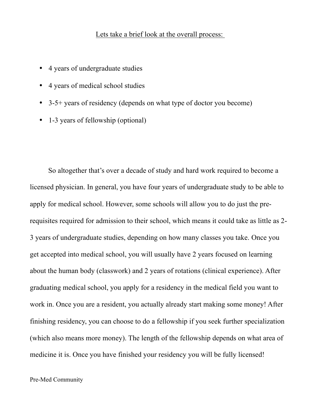#### Lets take a brief look at the overall process:

- 4 years of undergraduate studies
- 4 years of medical school studies
- 3-5+ years of residency (depends on what type of doctor you become)
- 1-3 years of fellowship (optional)

So altogether that's over a decade of study and hard work required to become a licensed physician. In general, you have four years of undergraduate study to be able to apply for medical school. However, some schools will allow you to do just the prerequisites required for admission to their school, which means it could take as little as 2- 3 years of undergraduate studies, depending on how many classes you take. Once you get accepted into medical school, you will usually have 2 years focused on learning about the human body (classwork) and 2 years of rotations (clinical experience). After graduating medical school, you apply for a residency in the medical field you want to work in. Once you are a resident, you actually already start making some money! After finishing residency, you can choose to do a fellowship if you seek further specialization (which also means more money). The length of the fellowship depends on what area of medicine it is. Once you have finished your residency you will be fully licensed!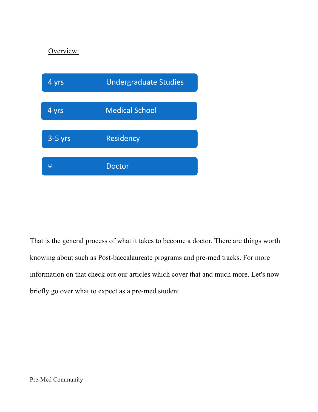#### Overview:



That is the general process of what it takes to become a doctor. There are things worth knowing about such as Post-baccalaureate programs and pre-med tracks. For more information on that check out our articles which cover that and much more. Let's now briefly go over what to expect as a pre-med student.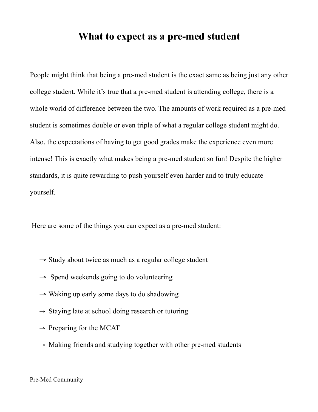### **What to expect as a pre-med student**

People might think that being a pre-med student is the exact same as being just any other college student. While it's true that a pre-med student is attending college, there is a whole world of difference between the two. The amounts of work required as a pre-med student is sometimes double or even triple of what a regular college student might do. Also, the expectations of having to get good grades make the experience even more intense! This is exactly what makes being a pre-med student so fun! Despite the higher standards, it is quite rewarding to push yourself even harder and to truly educate yourself.

#### Here are some of the things you can expect as a pre-med student:

- $\rightarrow$  Study about twice as much as a regular college student
- $\rightarrow$  Spend weekends going to do volunteering
- $\rightarrow$  Waking up early some days to do shadowing
- $\rightarrow$  Staying late at school doing research or tutoring
- $\rightarrow$  Preparing for the MCAT
- $\rightarrow$  Making friends and studying together with other pre-med students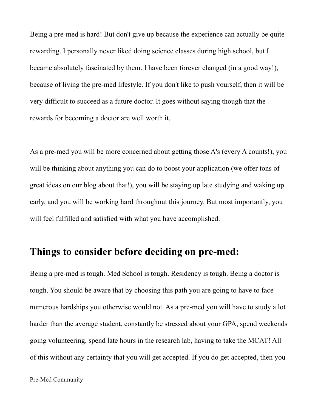Being a pre-med is hard! But don't give up because the experience can actually be quite rewarding. I personally never liked doing science classes during high school, but I became absolutely fascinated by them. I have been forever changed (in a good way!), because of living the pre-med lifestyle. If you don't like to push yourself, then it will be very difficult to succeed as a future doctor. It goes without saying though that the rewards for becoming a doctor are well worth it.

As a pre-med you will be more concerned about getting those A's (every A counts!), you will be thinking about anything you can do to boost your application (we offer tons of great ideas on our blog about that!), you will be staying up late studying and waking up early, and you will be working hard throughout this journey. But most importantly, you will feel fulfilled and satisfied with what you have accomplished.

### **Things to consider before deciding on pre-med:**

Being a pre-med is tough. Med School is tough. Residency is tough. Being a doctor is tough. You should be aware that by choosing this path you are going to have to face numerous hardships you otherwise would not. As a pre-med you will have to study a lot harder than the average student, constantly be stressed about your GPA, spend weekends going volunteering, spend late hours in the research lab, having to take the MCAT! All of this without any certainty that you will get accepted. If you do get accepted, then you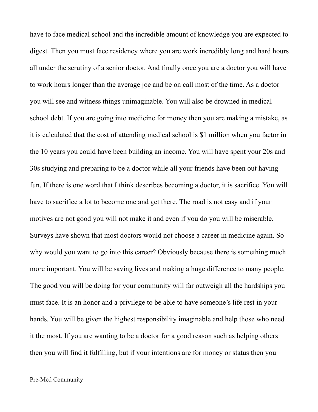have to face medical school and the incredible amount of knowledge you are expected to digest. Then you must face residency where you are work incredibly long and hard hours all under the scrutiny of a senior doctor. And finally once you are a doctor you will have to work hours longer than the average joe and be on call most of the time. As a doctor you will see and witness things unimaginable. You will also be drowned in medical school debt. If you are going into medicine for money then you are making a mistake, as it is calculated that the cost of attending medical school is \$1 million when you factor in the 10 years you could have been building an income. You will have spent your 20s and 30s studying and preparing to be a doctor while all your friends have been out having fun. If there is one word that I think describes becoming a doctor, it is sacrifice. You will have to sacrifice a lot to become one and get there. The road is not easy and if your motives are not good you will not make it and even if you do you will be miserable. Surveys have shown that most doctors would not choose a career in medicine again. So why would you want to go into this career? Obviously because there is something much more important. You will be saving lives and making a huge difference to many people. The good you will be doing for your community will far outweigh all the hardships you must face. It is an honor and a privilege to be able to have someone's life rest in your hands. You will be given the highest responsibility imaginable and help those who need it the most. If you are wanting to be a doctor for a good reason such as helping others then you will find it fulfilling, but if your intentions are for money or status then you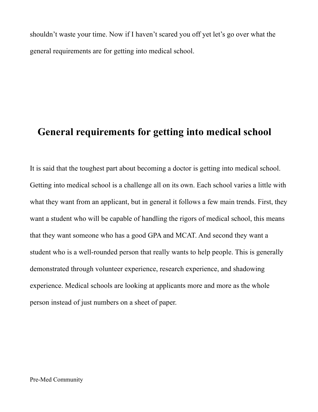shouldn't waste your time. Now if I haven't scared you off yet let's go over what the general requirements are for getting into medical school.

### **General requirements for getting into medical school**

It is said that the toughest part about becoming a doctor is getting into medical school. Getting into medical school is a challenge all on its own. Each school varies a little with what they want from an applicant, but in general it follows a few main trends. First, they want a student who will be capable of handling the rigors of medical school, this means that they want someone who has a good GPA and MCAT. And second they want a student who is a well-rounded person that really wants to help people. This is generally demonstrated through volunteer experience, research experience, and shadowing experience. Medical schools are looking at applicants more and more as the whole person instead of just numbers on a sheet of paper.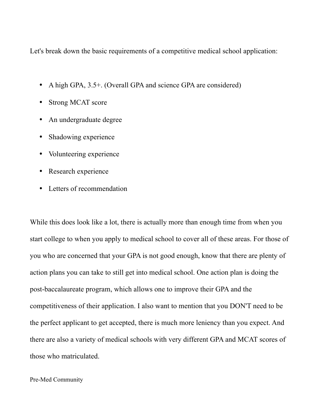Let's break down the basic requirements of a competitive medical school application:

- A high GPA, 3.5+. (Overall GPA and science GPA are considered)
- Strong MCAT score
- An undergraduate degree
- Shadowing experience
- Volunteering experience
- Research experience
- Letters of recommendation

While this does look like a lot, there is actually more than enough time from when you start college to when you apply to medical school to cover all of these areas. For those of you who are concerned that your GPA is not good enough, know that there are plenty of action plans you can take to still get into medical school. One action plan is doing the post-baccalaureate program, which allows one to improve their GPA and the competitiveness of their application. I also want to mention that you DON'T need to be the perfect applicant to get accepted, there is much more leniency than you expect. And there are also a variety of medical schools with very different GPA and MCAT scores of those who matriculated.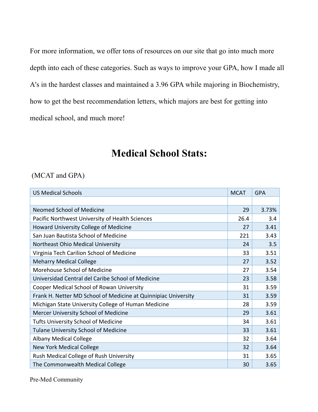For more information, we offer tons of resources on our site that go into much more depth into each of these categories. Such as ways to improve your GPA, how I made all A's in the hardest classes and maintained a 3.96 GPA while majoring in Biochemistry, how to get the best recommendation letters, which majors are best for getting into medical school, and much more!

### **Medical School Stats:**

#### (MCAT and GPA)

| <b>US Medical Schools</b>                                      | <b>MCAT</b> | <b>GPA</b> |
|----------------------------------------------------------------|-------------|------------|
|                                                                |             |            |
| <b>Neomed School of Medicine</b>                               | 29          | 3.73%      |
| Pacific Northwest University of Health Sciences                | 26.4        | 3.4        |
| Howard University College of Medicine                          | 27          | 3.41       |
| San Juan Bautista School of Medicine                           | 221         | 3.43       |
| Northeast Ohio Medical University                              | 24          | 3.5        |
| Virginia Tech Carilion School of Medicine                      | 33          | 3.51       |
| <b>Meharry Medical College</b>                                 | 27          | 3.52       |
| Morehouse School of Medicine                                   | 27          | 3.54       |
| Universidad Central del Caribe School of Medicine              | 23          | 3.58       |
| Cooper Medical School of Rowan University                      | 31          | 3.59       |
| Frank H. Netter MD School of Medicine at Quinnipiac University | 31          | 3.59       |
| Michigan State University College of Human Medicine            | 28          | 3.59       |
| Mercer University School of Medicine                           | 29          | 3.61       |
| <b>Tufts University School of Medicine</b>                     | 34          | 3.61       |
| <b>Tulane University School of Medicine</b>                    | 33          | 3.61       |
| <b>Albany Medical College</b>                                  | 32          | 3.64       |
| <b>New York Medical College</b>                                | 32          | 3.64       |
| Rush Medical College of Rush University                        | 31          | 3.65       |
| The Commonwealth Medical College                               | 30          | 3.65       |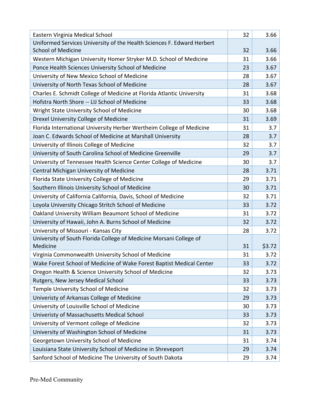| Eastern Virginia Medical School                                        | 32 | 3.66   |
|------------------------------------------------------------------------|----|--------|
| Uniformed Services University of the Health Sciences F. Edward Herbert |    |        |
| <b>School of Medicine</b>                                              | 32 | 3.66   |
| Western Michigan University Homer Stryker M.D. School of Medicine      | 31 | 3.66   |
| Ponce Health Sciences University School of Medicine                    | 23 | 3.67   |
| University of New Mexico School of Medicine                            | 28 | 3.67   |
| University of North Texas School of Medicine                           | 28 | 3.67   |
| Charles E. Schmidt College of Medicine at Florida Atlantic University  | 31 | 3.68   |
| Hofstra North Shore -- LIJ School of Medicine                          | 33 | 3.68   |
| Wright State University School of Medicine                             | 30 | 3.68   |
| Drexel University College of Medicine                                  | 31 | 3.69   |
| Florida International University Herber Wertheim College of Medicine   | 31 | 3.7    |
| Joan C. Edwards School of Medicine at Marshall University              | 28 | 3.7    |
| University of Illinois College of Medicine                             | 32 | 3.7    |
| University of South Carolina School of Medicine Greenville             | 29 | 3.7    |
| University of Tennessee Health Science Center College of Medicine      | 30 | 3.7    |
| Central Michigan University of Medicine                                | 28 | 3.71   |
| Florida State University College of Medicine                           | 29 | 3.71   |
| Southern Illinois University School of Medicine                        | 30 | 3.71   |
| University of California California, Davis, School of Medicine         | 32 | 3.71   |
| Loyola University Chicago Stritch School of Medicine                   | 33 | 3.72   |
| Oakland University William Beaumont School of Medicine                 | 31 | 3.72   |
| University of Hawaii, John A. Burns School of Medicine                 | 32 | 3.72   |
| University of Missouri - Kansas City                                   | 28 | 3.72   |
| University of South Florida College of Medicine Morsani College of     |    |        |
| Medicine                                                               | 31 | \$3.72 |
| Virginia Commonwealth University School of Medicine                    | 31 | 3.72   |
| Wake Forest School of Medicine of Wake Forest Baptist Medical Center   | 33 | 3.72   |
| Oregon Health & Science University School of Medicine                  | 32 | 3.73   |
| Rutgers, New Jersey Medical School                                     | 33 | 3.73   |
| Temple University School of Medicine                                   | 32 | 3.73   |
| Univeristy of Arkansas College of Medicine                             | 29 | 3.73   |
| University of Louisville School of Medicine                            | 30 | 3.73   |
| Univeristy of Massachusetts Medical School                             | 33 | 3.73   |
| University of Vermont college of Medicine                              | 32 | 3.73   |
| University of Washington School of Medicine                            | 31 | 3.73   |
| Georgetown University School of Medicine                               | 31 | 3.74   |
| Louisiana State University School of Medicine in Shreveport            | 29 | 3.74   |
| Sanford School of Medicine The University of South Dakota              | 29 | 3.74   |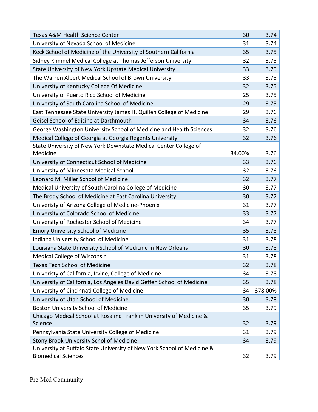| <b>Texas A&amp;M Health Science Center</b>                                                            | 30     | 3.74    |
|-------------------------------------------------------------------------------------------------------|--------|---------|
| University of Nevada School of Medicine                                                               | 31     | 3.74    |
| Keck School of Medicine of the University of Southern California                                      | 35     | 3.75    |
| Sidney Kimmel Medical College at Thomas Jefferson University                                          | 32     | 3.75    |
| State University of New York Upstate Medical University                                               | 33     | 3.75    |
| The Warren Alpert Medical School of Brown University                                                  | 33     | 3.75    |
| University of Kentucky College Of Medicine                                                            | 32     | 3.75    |
| University of Puerto Rico School of Medicine                                                          | 25     | 3.75    |
| University of South Carolina School of Medicine                                                       | 29     | 3.75    |
| East Tennessee State University James H. Quillen College of Medicine                                  | 29     | 3.76    |
| Geisel School of Edicine at Darthmouth                                                                | 34     | 3.76    |
| George Washington University School of Medicine and Health Sciences                                   | 32     | 3.76    |
| Medical College of Georgia at Georgia Regents University                                              | 32     | 3.76    |
| State University of New York Downstate Medical Center College of                                      |        |         |
| Medicine                                                                                              | 34.00% | 3.76    |
| University of Connecticut School of Medicine                                                          | 33     | 3.76    |
| University of Minnesota Medical School                                                                | 32     | 3.76    |
| Leonard M. Miller School of Medicine                                                                  | 32     | 3.77    |
| Medical University of South Carolina College of Medicine                                              | 30     | 3.77    |
| The Brody School of Medicine at East Carolina University                                              | 30     | 3.77    |
| Univeristy of Arizona College of Medicine-Phoenix                                                     | 31     | 3.77    |
| University of Colorado School of Medicine                                                             | 33     | 3.77    |
| University of Rochester School of Medicine                                                            | 34     | 3.77    |
| <b>Emory University School of Medicine</b>                                                            | 35     | 3.78    |
| Indiana University School of Medicine                                                                 | 31     | 3.78    |
| Louisiana State University School of Medicine in New Orleans                                          | 30     | 3.78    |
| <b>Medical College of Wisconsin</b>                                                                   | 31     | 3.78    |
| Texas Tech School of Medicine                                                                         | 32     | 3.78    |
| Univeristy of California, Irvine, College of Medicine                                                 | 34     | 3.78    |
| University of California, Los Angeles David Geffen School of Medicine                                 | 35     | 3.78    |
| University of Cincinnati College of Medicine                                                          | 34     | 378.00% |
| University of Utah School of Medicine                                                                 | 30     | 3.78    |
| <b>Boston University School of Medicine</b>                                                           | 35     | 3.79    |
| Chicago Medical School at Rosalind Franklin University of Medicine &                                  |        |         |
| Science                                                                                               | 32     | 3.79    |
| Pennsylvania State University College of Medicine                                                     | 31     | 3.79    |
| <b>Stony Brook University Schol of Medicine</b>                                                       | 34     | 3.79    |
| University at Buffalo State University of New York School of Medicine &<br><b>Biomedical Sciences</b> | 32     | 3.79    |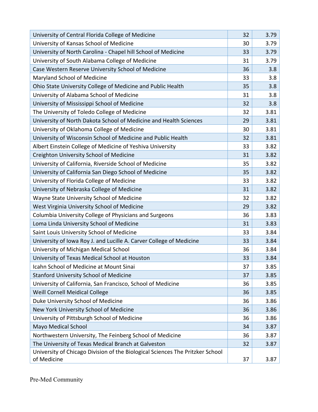| University of Central Florida College of Medicine                             | 32 | 3.79 |
|-------------------------------------------------------------------------------|----|------|
| University of Kansas School of Medicine                                       | 30 | 3.79 |
| University of North Carolina - Chapel hill School of Medicine                 | 33 | 3.79 |
| University of South Alabama College of Medicine                               | 31 | 3.79 |
| Case Western Reserve University School of Medicine                            | 36 | 3.8  |
| Maryland School of Medicine                                                   | 33 | 3.8  |
| Ohio State University College of Medicine and Public Health                   | 35 | 3.8  |
| University of Alabama School of Medicine                                      | 31 | 3.8  |
| University of Mississippi School of Medicine                                  | 32 | 3.8  |
| The University of Toledo College of Medicine                                  | 32 | 3.81 |
| University of North Dakota School of Medicine and Health Sciences             | 29 | 3.81 |
| University of Oklahoma College of Medicine                                    | 30 | 3.81 |
| University of Wisconsin School of Medicine and Public Health                  | 32 | 3.81 |
| Albert Einstein College of Medicine of Yeshiva University                     | 33 | 3.82 |
| Creighton University School of Medicine                                       | 31 | 3.82 |
| University of California, Riverside School of Medicine                        | 35 | 3.82 |
| University of California San Diego School of Medicine                         | 35 | 3.82 |
| University of Florida College of Medicine                                     | 33 | 3.82 |
| University of Nebraska College of Medicine                                    | 31 | 3.82 |
| Wayne State University School of Medicine                                     | 32 | 3.82 |
| West Virginia University School of Medicine                                   | 29 | 3.82 |
| Columbia University College of Physicians and Surgeons                        | 36 | 3.83 |
| Loma Linda University School of Medicine                                      | 31 | 3.83 |
| Saint Louis University School of Medicine                                     | 33 | 3.84 |
| University of Iowa Roy J. and Lucille A. Carver College of Medicine           | 33 | 3.84 |
| University of Michigan Medical School                                         | 36 | 3.84 |
| University of Texas Medical School at Houston                                 | 33 | 3.84 |
| Icahn School of Medicine at Mount Sinai                                       | 37 | 3.85 |
| <b>Stanford University School of Medicine</b>                                 | 37 | 3.85 |
| University of California, San Francisco, School of Medicine                   | 36 | 3.85 |
| <b>Weill Cornell Meidical College</b>                                         | 36 | 3.85 |
| Duke University School of Medicine                                            | 36 | 3.86 |
| New York University School of Medicine                                        | 36 | 3.86 |
| University of Pittsburgh School of Medicine                                   | 36 | 3.86 |
| Mayo Medical School                                                           | 34 | 3.87 |
| Northwestern University, The Feinberg School of Medicine                      | 36 | 3.87 |
| The University of Texas Medical Branch at Galveston                           | 32 | 3.87 |
| University of Chicago Division of the Biological Sciences The Pritzker School |    |      |
| of Medicine                                                                   | 37 | 3.87 |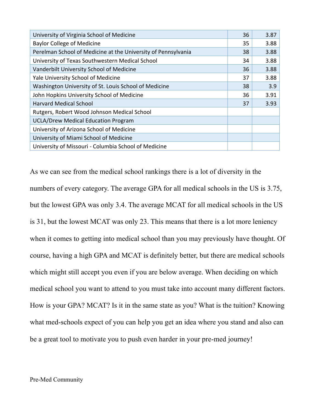| University of Virginia School of Medicine                     | 36 | 3.87 |
|---------------------------------------------------------------|----|------|
| <b>Baylor College of Medicine</b>                             | 35 | 3.88 |
| Perelman School of Medicine at the University of Pennsylvania | 38 | 3.88 |
| University of Texas Southwestern Medical School               | 34 | 3.88 |
| Vanderbilt University School of Medicine                      | 36 | 3.88 |
| Yale University School of Medicine                            | 37 | 3.88 |
| Washington University of St. Louis School of Medicine         | 38 | 3.9  |
| John Hopkins University School of Medicine                    | 36 | 3.91 |
| <b>Harvard Medical School</b>                                 | 37 | 3.93 |
| Rutgers, Robert Wood Johnson Medical School                   |    |      |
| <b>UCLA/Drew Medical Education Program</b>                    |    |      |
| University of Arizona School of Medicine                      |    |      |
| University of Miami School of Medicine                        |    |      |
| University of Missouri - Columbia School of Medicine          |    |      |

As we can see from the medical school rankings there is a lot of diversity in the numbers of every category. The average GPA for all medical schools in the US is 3.75, but the lowest GPA was only 3.4. The average MCAT for all medical schools in the US is 31, but the lowest MCAT was only 23. This means that there is a lot more leniency when it comes to getting into medical school than you may previously have thought. Of course, having a high GPA and MCAT is definitely better, but there are medical schools which might still accept you even if you are below average. When deciding on which medical school you want to attend to you must take into account many different factors. How is your GPA? MCAT? Is it in the same state as you? What is the tuition? Knowing what med-schools expect of you can help you get an idea where you stand and also can be a great tool to motivate you to push even harder in your pre-med journey!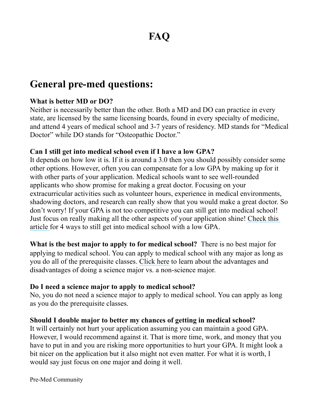# **FAQ**

## **General pre-med questions:**

#### **What is better MD or DO?**

Neither is necessarily better than the other. Both a MD and DO can practice in every state, are licensed by the same licensing boards, found in every specialty of medicine, and attend 4 years of medical school and 3-7 years of residency. MD stands for "Medical Doctor" while DO stands for "Osteopathic Doctor."

#### **Can I still get into medical school even if I have a low GPA?**

It depends on how low it is. If it is around a 3.0 then you should possibly consider some other options. However, often you can compensate for a low GPA by making up for it with other parts of your application. Medical schools want to see well-rounded applicants who show promise for making a great doctor. Focusing on your extracurricular activities such as volunteer hours, experience in medical environments, shadowing doctors, and research can really show that you would make a great doctor. So don't worry! If your GPA is not too competitive you can still get into medical school! Just focus on really making all the other aspects of your application shine! Check this article for 4 ways to still get into medical school with a low GPA.

**What is the best major to apply to for medical school?** There is no best major for applying to medical school. You can apply to medical school with any major as long as you do all of the prerequisite classes. Click here to learn about the advantages and disadvantages of doing a science major vs. a non-science major.

#### **Do I need a science major to apply to medical school?**

No, you do not need a science major to apply to medical school. You can apply as long as you do the prerequisite classes.

#### **Should I double major to better my chances of getting in medical school?**

It will certainly not hurt your application assuming you can maintain a good GPA. However, I would recommend against it. That is more time, work, and money that you have to put in and you are risking more opportunities to hurt your GPA. It might look a bit nicer on the application but it also might not even matter. For what it is worth, I would say just focus on one major and doing it well.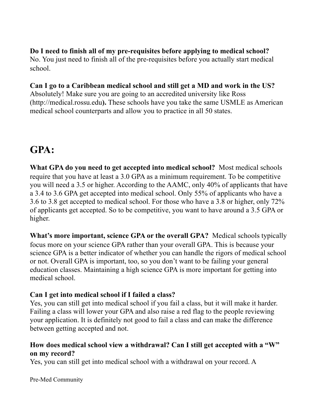#### **Do I need to finish all of my pre-requisites before applying to medical school?**

No. You just need to finish all of the pre-requisites before you actually start medical school.

#### **Can I go to a Caribbean medical school and still get a MD and work in the US?**

Absolutely! Make sure you are going to an accredited university like Ross (http://medical.rossu.edu**).** These schools have you take the same USMLE as American medical school counterparts and allow you to practice in all 50 states.

## **GPA:**

**What GPA do you need to get accepted into medical school?** Most medical schools require that you have at least a 3.0 GPA as a minimum requirement. To be competitive you will need a 3.5 or higher. According to the AAMC, only 40% of applicants that have a 3.4 to 3.6 GPA get accepted into medical school. Only 55% of applicants who have a 3.6 to 3.8 get accepted to medical school. For those who have a 3.8 or higher, only 72% of applicants get accepted. So to be competitive, you want to have around a 3.5 GPA or higher.

**What's more important, science GPA or the overall GPA?** Medical schools typically focus more on your science GPA rather than your overall GPA. This is because your science GPA is a better indicator of whether you can handle the rigors of medical school or not. Overall GPA is important, too, so you don't want to be failing your general education classes. Maintaining a high science GPA is more important for getting into medical school.

#### **Can I get into medical school if I failed a class?**

Yes, you can still get into medical school if you fail a class, but it will make it harder. Failing a class will lower your GPA and also raise a red flag to the people reviewing your application. It is definitely not good to fail a class and can make the difference between getting accepted and not.

#### **How does medical school view a withdrawal? Can I still get accepted with a "W" on my record?**

Yes, you can still get into medical school with a withdrawal on your record. A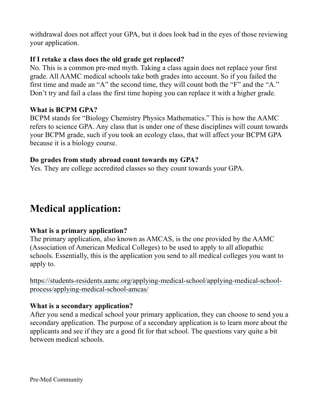withdrawal does not affect your GPA, but it does look bad in the eyes of those reviewing your application.

#### **If I retake a class does the old grade get replaced?**

No. This is a common pre-med myth. Taking a class again does not replace your first grade. All AAMC medical schools take both grades into account. So if you failed the first time and made an "A" the second time, they will count both the "F" and the "A." Don't try and fail a class the first time hoping you can replace it with a higher grade.

#### **What is BCPM GPA?**

BCPM stands for "Biology Chemistry Physics Mathematics." This is how the AAMC refers to science GPA. Any class that is under one of these disciplines will count towards your BCPM grade, such if you took an ecology class, that will affect your BCPM GPA because it is a biology course.

#### **Do grades from study abroad count towards my GPA?**

Yes. They are college accredited classes so they count towards your GPA.

## **Medical application:**

#### **What is a primary application?**

The primary application, also known as AMCAS, is the one provided by the AAMC (Association of American Medical Colleges) to be used to apply to all allopathic schools. Essentially, this is the application you send to all medical colleges you want to apply to.

https://students-residents.aamc.org/applying-medical-school/applying-medical-schoolprocess/applying-medical-school-amcas/

#### **What is a secondary application?**

After you send a medical school your primary application, they can choose to send you a secondary application. The purpose of a secondary application is to learn more about the applicants and see if they are a good fit for that school. The questions vary quite a bit between medical schools.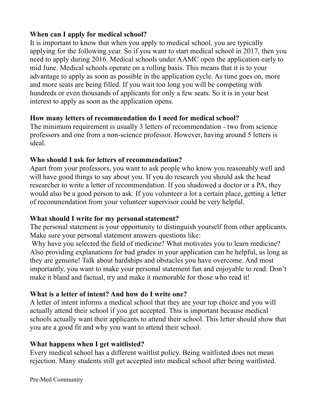#### **When can I apply for medical school?**

It is important to know that when you apply to medical school, you are typically applying for the following year. So if you want to start medical school in 2017, then you need to apply during 2016. Medical schools under AAMC open the application early to mid June. Medical schools operate on a rolling basis. This means that it is to your advantage to apply as soon as possible in the application cycle. As time goes on, more and more seats are being filled. If you wait too long you will be competing with hundreds or even thousands of applicants for only a few seats. So it is in your best interest to apply as soon as the application opens.

#### **How many letters of recommendation do I need for medical school?**

The minimum requirement is usually 3 letters of recommendation - two from science professors and one from a non-science professor. However, having around 5 letters is ideal.

#### **Who should I ask for letters of recommendation?**

Apart from your professors, you want to ask people who know you reasonably well and will have good things to say about you. If you do research you should ask the head researcher to write a letter of recommendation. If you shadowed a doctor or a PA, they would also be a good person to ask. If you volunteer a lot a certain place, getting a letter of recommendation from your volunteer supervisor could be very helpful.

#### **What should I write for my personal statement?**

The personal statement is your opportunity to distinguish yourself from other applicants. Make sure your personal statement answers questions like:

Why have you selected the field of medicine? What motivates you to learn medicine? Also providing explanations for bad grades in your application can be helpful, as long as they are genuine! Talk about hardships and obstacles you have overcome. And most importantly, you want to make your personal statement fun and enjoyable to read. Don't make it bland and factual, try and make it memorable for those who read it!

### **What is a letter of intent? And how do I write one?**

A letter of intent informs a medical school that they are your top choice and you will actually attend their school if you get accepted. This is important because medical schools actually want their applicants to attend their school. This letter should show that you are a good fit and why you want to attend their school.

#### **What happens when I get waitlisted?**

Every medical school has a different waitlist policy. Being waitlisted does not mean rejection. Many students still get accepted into medical school after being waitlisted.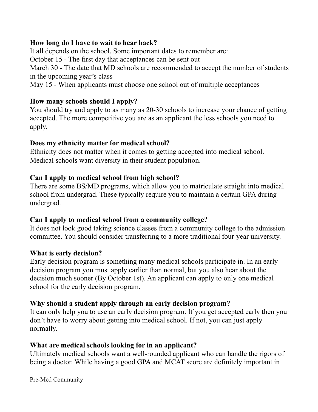#### **How long do I have to wait to hear back?**

It all depends on the school. Some important dates to remember are:

October 15 - The first day that acceptances can be sent out

March 30 - The date that MD schools are recommended to accept the number of students in the upcoming year's class

May 15 - When applicants must choose one school out of multiple acceptances

#### **How many schools should I apply?**

You should try and apply to as many as 20-30 schools to increase your chance of getting accepted. The more competitive you are as an applicant the less schools you need to apply.

#### **Does my ethnicity matter for medical school?**

Ethnicity does not matter when it comes to getting accepted into medical school. Medical schools want diversity in their student population.

#### **Can I apply to medical school from high school?**

There are some BS/MD programs, which allow you to matriculate straight into medical school from undergrad. These typically require you to maintain a certain GPA during undergrad.

#### **Can I apply to medical school from a community college?**

It does not look good taking science classes from a community college to the admission committee. You should consider transferring to a more traditional four-year university.

#### **What is early decision?**

Early decision program is something many medical schools participate in. In an early decision program you must apply earlier than normal, but you also hear about the decision much sooner (By October 1st). An applicant can apply to only one medical school for the early decision program.

#### **Why should a student apply through an early decision program?**

It can only help you to use an early decision program. If you get accepted early then you don't have to worry about getting into medical school. If not, you can just apply normally.

#### **What are medical schools looking for in an applicant?**

Ultimately medical schools want a well-rounded applicant who can handle the rigors of being a doctor. While having a good GPA and MCAT score are definitely important in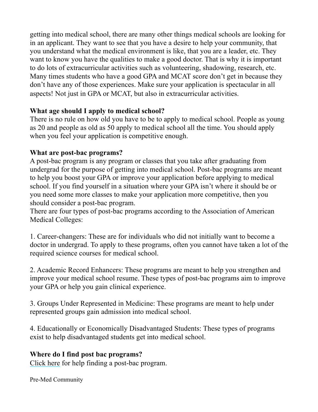getting into medical school, there are many other things medical schools are looking for in an applicant. They want to see that you have a desire to help your community, that you understand what the medical environment is like, that you are a leader, etc. They want to know you have the qualities to make a good doctor. That is why it is important to do lots of extracurricular activities such as volunteering, shadowing, research, etc. Many times students who have a good GPA and MCAT score don't get in because they don't have any of those experiences. Make sure your application is spectacular in all aspects! Not just in GPA or MCAT, but also in extracurricular activities. 

#### **What age should I apply to medical school?**

There is no rule on how old you have to be to apply to medical school. People as young as 20 and people as old as 50 apply to medical school all the time. You should apply when you feel your application is competitive enough.

#### **What are post-bac programs?**

A post-bac program is any program or classes that you take after graduating from undergrad for the purpose of getting into medical school. Post-bac programs are meant to help you boost your GPA or improve your application before applying to medical school. If you find yourself in a situation where your GPA isn't where it should be or you need some more classes to make your application more competitive, then you should consider a post-bac program.

There are four types of post-bac programs according to the Association of American Medical Colleges:

1. Career-changers: These are for individuals who did not initially want to become a doctor in undergrad. To apply to these programs, often you cannot have taken a lot of the required science courses for medical school.

2. Academic Record Enhancers: These programs are meant to help you strengthen and improve your medical school resume. These types of post-bac programs aim to improve your GPA or help you gain clinical experience.

3. Groups Under Represented in Medicine: These programs are meant to help under represented groups gain admission into medical school.

4. Educationally or Economically Disadvantaged Students: These types of programs exist to help disadvantaged students get into medical school.

### **Where do I find post bac programs?**

Click here for help finding a post-bac program.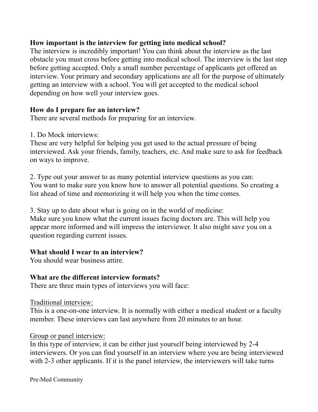#### **How important is the interview for getting into medical school?**

The interview is incredibly important! You can think about the interview as the last obstacle you must cross before getting into medical school. The interview is the last step before getting accepted. Only a small number percentage of applicants get offered an interview. Your primary and secondary applications are all for the purpose of ultimately getting an interview with a school. You will get accepted to the medical school depending on how well your interview goes.

#### **How do I prepare for an interview?**

There are several methods for preparing for an interview.

1. Do Mock interviews:

These are very helpful for helping you get used to the actual pressure of being interviewed. Ask your friends, family, teachers, etc. And make sure to ask for feedback on ways to improve.

2. Type out your answer to as many potential interview questions as you can: You want to make sure you know how to answer all potential questions. So creating a list ahead of time and memorizing it will help you when the time comes.

3. Stay up to date about what is going on in the world of medicine: Make sure you know what the current issues facing doctors are. This will help you appear more informed and will impress the interviewer. It also might save you on a question regarding current issues.

#### **What should I wear to an interview?**

You should wear business attire.

#### **What are the different interview formats?**

There are three main types of interviews you will face:

Traditional interview:

This is a one-on-one interview. It is normally with either a medical student or a faculty member. These interviews can last anywhere from 20 minutes to an hour.

#### Group or panel interview:

In this type of interview, it can be either just yourself being interviewed by 2-4 interviewers. Or you can find yourself in an interview where you are being interviewed with 2-3 other applicants. If it is the panel interview, the interviewers will take turns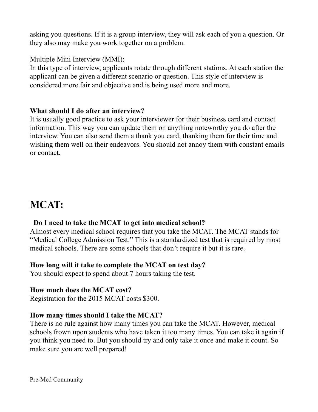asking you questions. If it is a group interview, they will ask each of you a question. Or they also may make you work together on a problem.

#### Multiple Mini Interview (MMI):

In this type of interview, applicants rotate through different stations. At each station the applicant can be given a different scenario or question. This style of interview is considered more fair and objective and is being used more and more.

#### **What should I do after an interview?**

It is usually good practice to ask your interviewer for their business card and contact information. This way you can update them on anything noteworthy you do after the interview. You can also send them a thank you card, thanking them for their time and wishing them well on their endeavors. You should not annoy them with constant emails or contact.

## **MCAT:**

#### **Do I need to take the MCAT to get into medical school?**

Almost every medical school requires that you take the MCAT. The MCAT stands for "Medical College Admission Test." This is a standardized test that is required by most medical schools. There are some schools that don't require it but it is rare.

#### **How long will it take to complete the MCAT on test day?**

You should expect to spend about 7 hours taking the test.

#### **How much does the MCAT cost?**

Registration for the 2015 MCAT costs \$300.

#### **How many times should I take the MCAT?**

There is no rule against how many times you can take the MCAT. However, medical schools frown upon students who have taken it too many times. You can take it again if you think you need to. But you should try and only take it once and make it count. So make sure you are well prepared!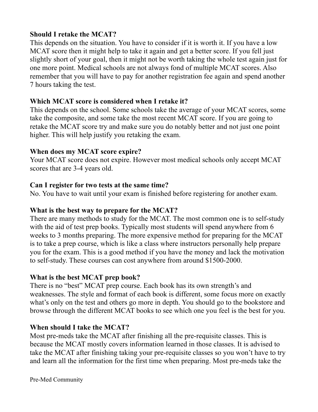#### **Should I retake the MCAT?**

This depends on the situation. You have to consider if it is worth it. If you have a low MCAT score then it might help to take it again and get a better score. If you fell just slightly short of your goal, then it might not be worth taking the whole test again just for one more point. Medical schools are not always fond of multiple MCAT scores. Also remember that you will have to pay for another registration fee again and spend another 7 hours taking the test.

#### **Which MCAT score is considered when I retake it?**

This depends on the school. Some schools take the average of your MCAT scores, some take the composite, and some take the most recent MCAT score. If you are going to retake the MCAT score try and make sure you do notably better and not just one point higher. This will help justify you retaking the exam.

#### **When does my MCAT score expire?**

Your MCAT score does not expire. However most medical schools only accept MCAT scores that are 3-4 years old.

#### **Can I register for two tests at the same time?**

No. You have to wait until your exam is finished before registering for another exam.

#### **What is the best way to prepare for the MCAT?**

There are many methods to study for the MCAT. The most common one is to self-study with the aid of test prep books. Typically most students will spend anywhere from 6 weeks to 3 months preparing. The more expensive method for preparing for the MCAT is to take a prep course, which is like a class where instructors personally help prepare you for the exam. This is a good method if you have the money and lack the motivation to self-study. These courses can cost anywhere from around \$1500-2000.

#### **What is the best MCAT prep book?**

There is no "best" MCAT prep course. Each book has its own strength's and weaknesses. The style and format of each book is different, some focus more on exactly what's only on the test and others go more in depth. You should go to the bookstore and browse through the different MCAT books to see which one you feel is the best for you.

### **When should I take the MCAT?**

Most pre-meds take the MCAT after finishing all the pre-requisite classes. This is because the MCAT mostly covers information learned in those classes. It is advised to take the MCAT after finishing taking your pre-requisite classes so you won't have to try and learn all the information for the first time when preparing. Most pre-meds take the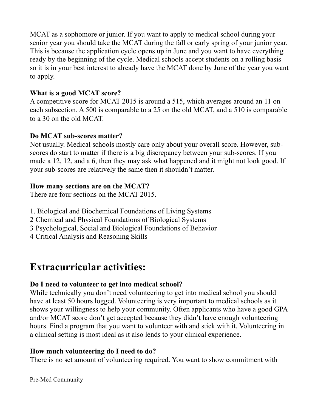MCAT as a sophomore or junior. If you want to apply to medical school during your senior year you should take the MCAT during the fall or early spring of your junior year. This is because the application cycle opens up in June and you want to have everything ready by the beginning of the cycle. Medical schools accept students on a rolling basis so it is in your best interest to already have the MCAT done by June of the year you want to apply.

#### **What is a good MCAT score?**

A competitive score for MCAT 2015 is around a 515, which averages around an 11 on each subsection. A 500 is comparable to a 25 on the old MCAT, and a 510 is comparable to a 30 on the old MCAT. 

#### **Do MCAT sub-scores matter?**

Not usually. Medical schools mostly care only about your overall score. However, subscores do start to matter if there is a big discrepancy between your sub-scores. If you made a 12, 12, and a 6, then they may ask what happened and it might not look good. If your sub-scores are relatively the same then it shouldn't matter.

#### **How many sections are on the MCAT?**

There are four sections on the MCAT 2015.

- 1. Biological and Biochemical Foundations of Living Systems
- 2 Chemical and Physical Foundations of Biological Systems
- 3 Psychological, Social and Biological Foundations of Behavior
- 4 Critical Analysis and Reasoning Skills

## **Extracurricular activities:**

### **Do I need to volunteer to get into medical school?**

While technically you don't need volunteering to get into medical school you should have at least 50 hours logged. Volunteering is very important to medical schools as it shows your willingness to help your community. Often applicants who have a good GPA and/or MCAT score don't get accepted because they didn't have enough volunteering hours. Find a program that you want to volunteer with and stick with it. Volunteering in a clinical setting is most ideal as it also lends to your clinical experience.

#### **How much volunteering do I need to do?**

There is no set amount of volunteering required. You want to show commitment with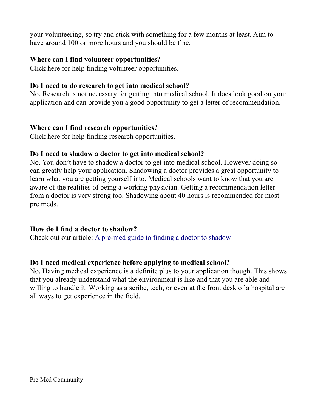your volunteering, so try and stick with something for a few months at least. Aim to have around 100 or more hours and you should be fine.

#### **Where can I find volunteer opportunities?**

Click here for help finding volunteer opportunities.

#### **Do I need to do research to get into medical school?**

No. Research is not necessary for getting into medical school. It does look good on your application and can provide you a good opportunity to get a letter of recommendation.

#### **Where can I find research opportunities?**

Click here for help finding research opportunities.

#### **Do I need to shadow a doctor to get into medical school?**

No. You don't have to shadow a doctor to get into medical school. However doing so can greatly help your application. Shadowing a doctor provides a great opportunity to learn what you are getting yourself into. Medical schools want to know that you are aware of the realities of being a working physician. Getting a recommendation letter from a doctor is very strong too. Shadowing about 40 hours is recommended for most pre meds.

#### **How do I find a doctor to shadow?**

Check out our article: A pre-med guide to finding a doctor to shadow

#### **Do I need medical experience before applying to medical school?**

No. Having medical experience is a definite plus to your application though. This shows that you already understand what the environment is like and that you are able and willing to handle it. Working as a scribe, tech, or even at the front desk of a hospital are all ways to get experience in the field.